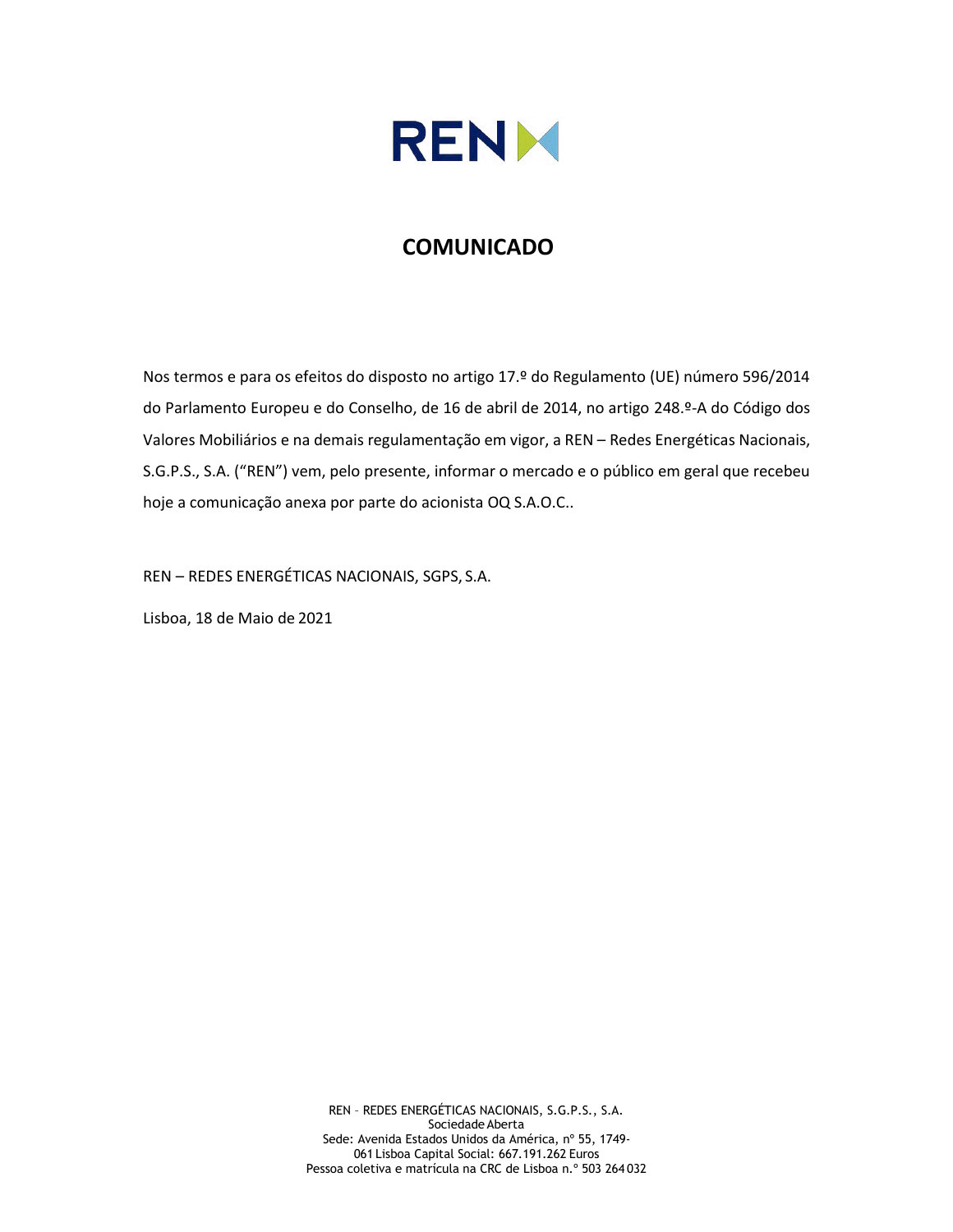

## **COMUNICADO**

Nos termos e para os efeitos do disposto no artigo 17.º do Regulamento (UE) número 596/2014 do Parlamento Europeu e do Conselho, de 16 de abril de 2014, no artigo 248.º-A do Código dos Valores Mobiliários e na demais regulamentação em vigor, a REN – Redes Energéticas Nacionais, S.G.P.S., S.A. ("REN") vem, pelo presente, informar o mercado e o público em geral que recebeu hoje a comunicação anexa por parte do acionista OQ S.A.O.C..

REN – REDES ENERGÉTICAS NACIONAIS, SGPS, S.A.

Lisboa, 18 de Maio de 2021

REN – REDES ENERGÉTICAS NACIONAIS, S.G.P.S., S.A. Sociedade Aberta Sede: Avenida Estados Unidos da América, nº 55, 1749- 061 Lisboa Capital Social: 667.191.262 Euros Pessoa coletiva e matrícula na CRC de Lisboa n.º 503 264 032